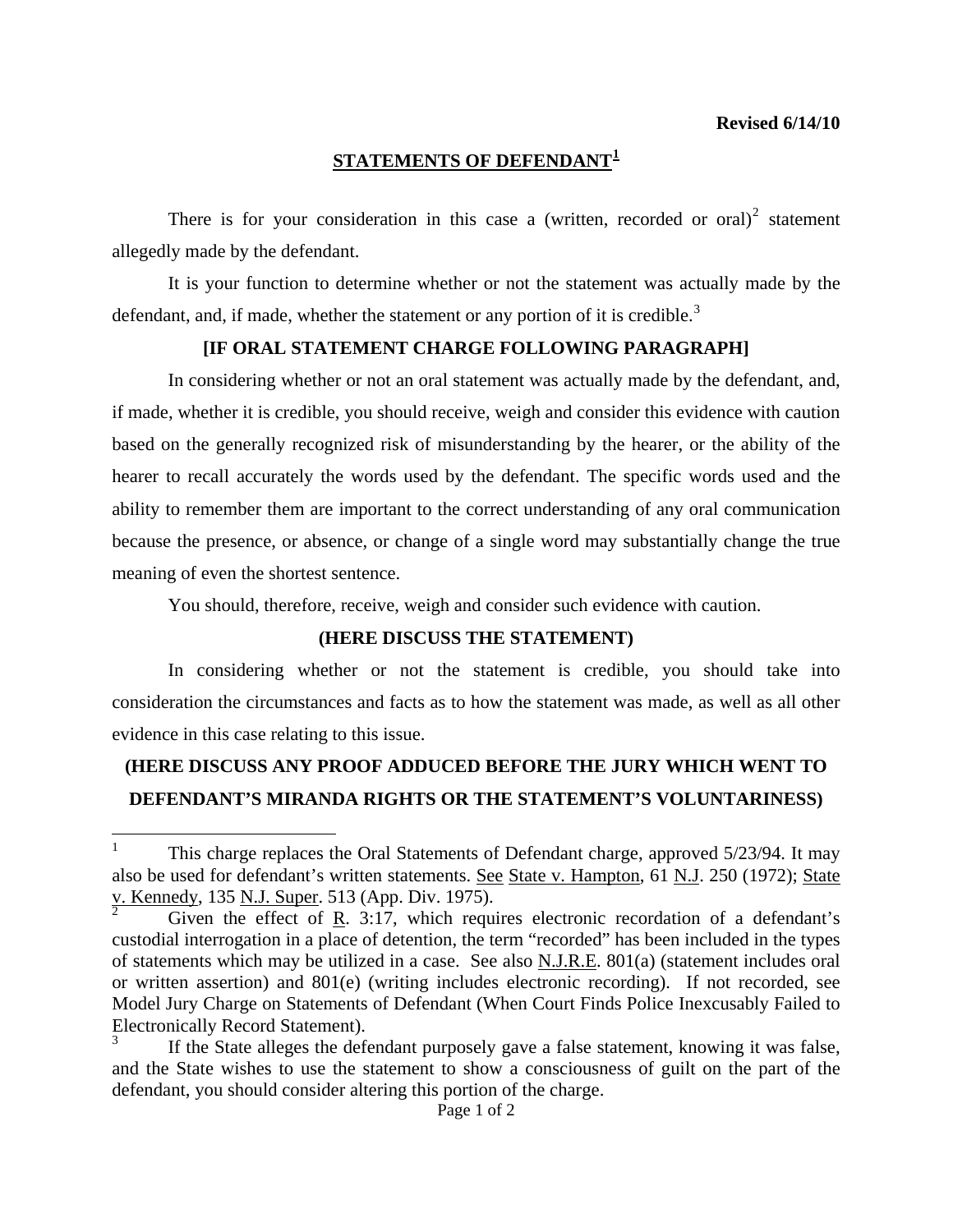### **STATEMENTS OF DEFENDANT[1](#page-0-0)**

There is for your consideration in this case a (written, recorded or oral)<sup>[2](#page-0-1)</sup> statement allegedly made by the defendant.

 It is your function to determine whether or not the statement was actually made by the defendant, and, if made, whether the statement or any portion of it is credible.<sup>[3](#page-0-2)</sup>

#### **[IF ORAL STATEMENT CHARGE FOLLOWING PARAGRAPH]**

 In considering whether or not an oral statement was actually made by the defendant, and, if made, whether it is credible, you should receive, weigh and consider this evidence with caution based on the generally recognized risk of misunderstanding by the hearer, or the ability of the hearer to recall accurately the words used by the defendant. The specific words used and the ability to remember them are important to the correct understanding of any oral communication because the presence, or absence, or change of a single word may substantially change the true meaning of even the shortest sentence.

You should, therefore, receive, weigh and consider such evidence with caution.

#### **(HERE DISCUSS THE STATEMENT)**

 In considering whether or not the statement is credible, you should take into consideration the circumstances and facts as to how the statement was made, as well as all other evidence in this case relating to this issue.

# **(HERE DISCUSS ANY PROOF ADDUCED BEFORE THE JURY WHICH WENT TO DEFENDANT'S MIRANDA RIGHTS OR THE STATEMENT'S VOLUNTARINESS)**

 $\overline{a}$ 

<span id="page-0-0"></span><sup>1</sup> This charge replaces the Oral Statements of Defendant charge, approved 5/23/94. It may also be used for defendant's written statements. See State v. Hampton, 61 N.J. 250 (1972); State v. Kennedy, 135 N.J. Super. 513 (App. Div. 1975).

<span id="page-0-1"></span>Given the effect of R. 3:17, which requires electronic recordation of a defendant's custodial interrogation in a place of detention, the term "recorded" has been included in the types of statements which may be utilized in a case. See also N.J.R.E. 801(a) (statement includes oral or written assertion) and 801(e) (writing includes electronic recording). If not recorded, see Model Jury Charge on Statements of Defendant (When Court Finds Police Inexcusably Failed to Electronically Record Statement).

<span id="page-0-2"></span><sup>3</sup> If the State alleges the defendant purposely gave a false statement, knowing it was false, and the State wishes to use the statement to show a consciousness of guilt on the part of the defendant, you should consider altering this portion of the charge.